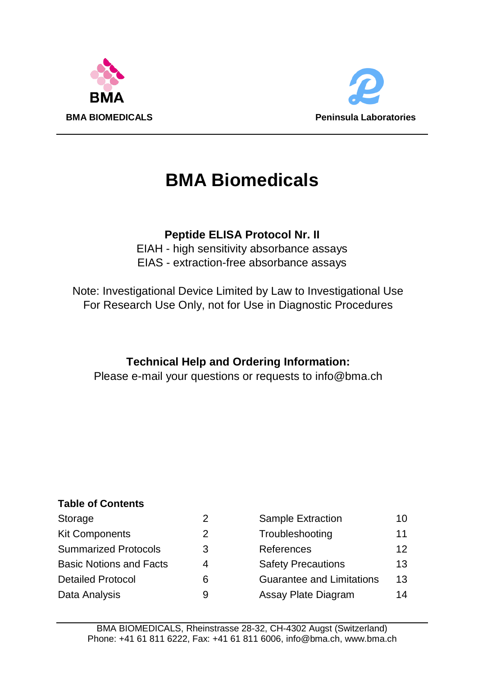



# **BMA Biomedicals**

# **Peptide ELISA Protocol Nr. II**

EIAH - high sensitivity absorbance assays EIAS - extraction-free absorbance assays

Note: Investigational Device Limited by Law to Investigational Use For Research Use Only, not for Use in Diagnostic Procedures

# **Technical Help and Ordering Information:**

Please e-mail your questions or requests to info@bma.ch

# **Table of Contents**

| Storage                        | ╯ |
|--------------------------------|---|
| <b>Kit Components</b>          | 2 |
| <b>Summarized Protocols</b>    | 3 |
| <b>Basic Notions and Facts</b> | 4 |
| Detailed Protocol              | 6 |
| Data Analysis                  | 9 |

| Storage                 |   | Sample Extraction         | 10  |
|-------------------------|---|---------------------------|-----|
| Kit Components          | 2 | Troubleshooting           | 11  |
| Summarized Protocols    | 3 | References                | 12. |
| Basic Notions and Facts | 4 | <b>Safety Precautions</b> | 13  |
| Detailed Protocol       | 6 | Guarantee and Limitations | 13  |
| Data Analysis           | 9 | Assay Plate Diagram       | 14  |
|                         |   |                           |     |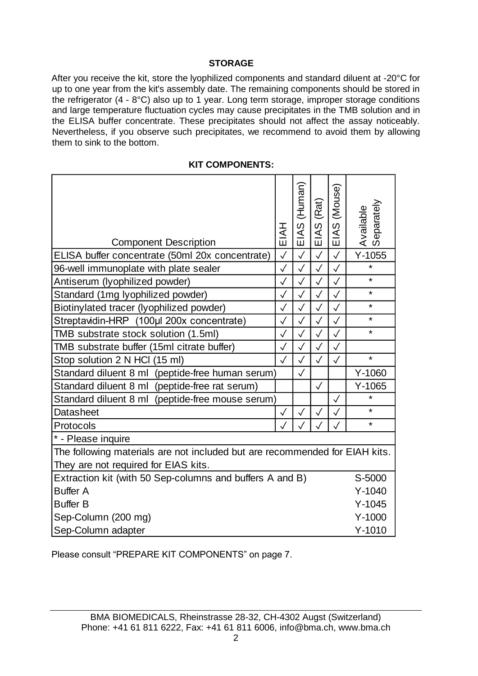# **STORAGE**

After you receive the kit, store the lyophilized components and standard diluent at -20°C for up to one year from the kit's assembly date. The remaining components should be stored in the refrigerator (4 - 8°C) also up to 1 year. Long term storage, improper storage conditions and large temperature fluctuation cycles may cause precipitates in the TMB solution and in the ELISA buffer concentrate. These precipitates should not affect the assay noticeably. Nevertheless, if you observe such precipitates, we recommend to avoid them by allowing them to sink to the bottom.

| <b>Component Description</b>                                                | EIAH          | EIAS (Human) | (Rat)<br>ဖ<br>ΞIΑ | EIAS (Mouse) | Available<br>Separately |
|-----------------------------------------------------------------------------|---------------|--------------|-------------------|--------------|-------------------------|
| ELISA buffer concentrate (50ml 20x concentrate)                             | $\checkmark$  | $\checkmark$ | $\checkmark$      | $\checkmark$ | $Y-1055$                |
| 96-well immunoplate with plate sealer                                       | $\checkmark$  | $\checkmark$ | $\checkmark$      | $\checkmark$ | $\star$                 |
| Antiserum (lyophilized powder)                                              | $\checkmark$  | $\checkmark$ | $\checkmark$      | $\checkmark$ | $\star$                 |
| Standard (1mg lyophilized powder)                                           | $\checkmark$  | $\checkmark$ | $\checkmark$      | $\checkmark$ | $\star$                 |
| Biotinylated tracer (lyophilized powder)                                    | $\checkmark$  | $\checkmark$ | $\checkmark$      | $\checkmark$ | $\star$                 |
| Streptavidin-HRP (100µl 200x concentrate)                                   | $\checkmark$  | $\checkmark$ | $\checkmark$      | $\checkmark$ | $\star$                 |
| TMB substrate stock solution (1.5ml)                                        | $\mathcal{L}$ | $\checkmark$ | $\hat{r}$         | $\checkmark$ | $\star$                 |
| TMB substrate buffer (15ml citrate buffer)                                  | $\checkmark$  | $\checkmark$ | $\checkmark$      | $\checkmark$ |                         |
| Stop solution 2 N HCl (15 ml)                                               | $\checkmark$  | $\checkmark$ | √                 | $\checkmark$ | $\star$                 |
| Standard diluent 8 ml (peptide-free human serum)                            |               | √            |                   |              | Y-1060                  |
| Standard diluent 8 ml (peptide-free rat serum)                              |               |              | $\checkmark$      |              | $Y-1065$                |
| Standard diluent 8 ml (peptide-free mouse serum)                            |               |              |                   | $\checkmark$ | $\star$                 |
| Datasheet                                                                   | $\checkmark$  | $\checkmark$ | ✓                 | $\checkmark$ | $\star$                 |
| Protocols                                                                   | $\checkmark$  |              |                   | $\checkmark$ | $\star$                 |
| * - Please inquire                                                          |               |              |                   |              |                         |
| The following materials are not included but are recommended for EIAH kits. |               |              |                   |              |                         |
| They are not required for EIAS kits.                                        |               |              |                   |              |                         |
| Extraction kit (with 50 Sep-columns and buffers A and B)                    |               |              |                   |              | S-5000                  |
| <b>Buffer A</b>                                                             |               |              |                   |              | $Y - 1040$              |
| <b>Buffer B</b>                                                             |               |              |                   |              | $Y-1045$                |
| Sep-Column (200 mg)                                                         |               |              |                   |              | $Y-1000$                |
| Sep-Column adapter                                                          |               |              |                   |              | $Y-1010$                |

#### **KIT COMPONENTS:**

Please consult "PREPARE KIT COMPONENTS" on page 7.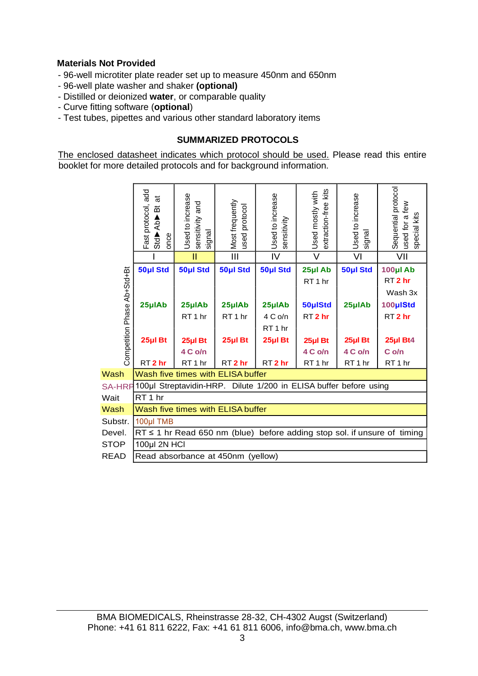# **Materials Not Provided**

- 96-well microtiter plate reader set up to measure 450nm and 650nm
- 96-well plate washer and shaker **(optional)**
- Distilled or deionized **water**, or comparable quality
- Curve fitting software (**optional**)
- Test tubes, pipettes and various other standard laboratory items

# **SUMMARIZED PROTOCOLS**

The enclosed datasheet indicates which protocol should be used. Please read this entire booklet for more detailed protocols and for background information.

|                             | Fast protocol, add<br>ಕ<br>효<br>Std<br>Ab<br>Ab<br>B<br>once | Used to increase<br>sensitivity and<br>signal                           | Most frequently<br>used protocol | Used to increase<br>sensitivity                        | extraction-free kits<br>Used mostly with | Used to increase<br>signal               | Sequential protocol<br>used for a few<br>special kits                    |
|-----------------------------|--------------------------------------------------------------|-------------------------------------------------------------------------|----------------------------------|--------------------------------------------------------|------------------------------------------|------------------------------------------|--------------------------------------------------------------------------|
|                             |                                                              | П                                                                       | Ш                                | IV                                                     | $\overline{\mathsf{v}}$                  | VI                                       | VII                                                                      |
|                             | 50µl Std                                                     | 50µl Std                                                                | 50µl Std                         | 50µl Std                                               | 25µl Ab<br>RT <sub>1</sub> hr            | 50µl Std                                 | 100µl Ab<br>RT <sub>2</sub> hr<br>Wash 3x                                |
|                             | 25µlAb                                                       | 25µlAb<br>RT <sub>1</sub> hr                                            | 25µlAb<br>RT <sub>1</sub> hr     | 25µlAb<br>4 C o/n                                      | 50µlStd<br>RT <sub>2</sub> hr            | 25µlAb                                   | 100µIStd<br>RT <sub>2</sub> hr                                           |
| Competition Phase Ab+Std+Bt | 25µl Bt<br>RT <sub>2</sub> hr                                | 25µl Bt<br>4 C o/n<br>RT <sub>1</sub> hr                                | 25µl Bt<br>RT <sub>2</sub> hr    | RT <sub>1</sub> hr<br>$25$ µl Bt<br>RT <sub>2</sub> hr | 25µl Bt<br>4 C o/n<br>RT <sub>1</sub> hr | 25µl Bt<br>4 C o/n<br>RT <sub>1</sub> hr | 25µl Bt4<br>C <sub>o/n</sub><br>RT <sub>1</sub> hr                       |
| Wash                        |                                                              | Wash five times with ELISA buffer                                       |                                  |                                                        |                                          |                                          |                                                                          |
|                             |                                                              | SA-HRF100µl Streptavidin-HRP. Dilute 1/200 in ELISA buffer before using |                                  |                                                        |                                          |                                          |                                                                          |
| Wait                        | RT <sub>1</sub> hr                                           |                                                                         |                                  |                                                        |                                          |                                          |                                                                          |
| Wash                        |                                                              | Wash five times with ELISA buffer                                       |                                  |                                                        |                                          |                                          |                                                                          |
| Substr.                     | 100µl TMB                                                    |                                                                         |                                  |                                                        |                                          |                                          |                                                                          |
| Devel.                      |                                                              |                                                                         |                                  |                                                        |                                          |                                          | RT ≤ 1 hr Read 650 nm (blue) before adding stop sol. if unsure of timing |
| <b>STOP</b>                 | 100µl 2N HCI                                                 |                                                                         |                                  |                                                        |                                          |                                          |                                                                          |
| <b>READ</b>                 |                                                              | Read absorbance at 450nm (yellow)                                       |                                  |                                                        |                                          |                                          |                                                                          |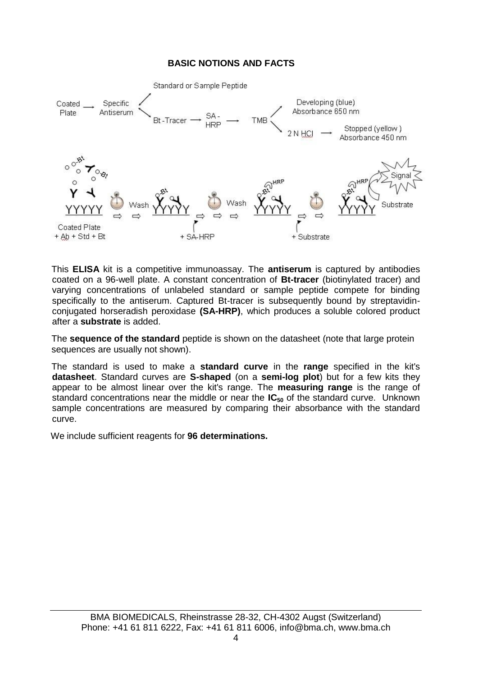#### **BASIC NOTIONS AND FACTS**



This **ELISA** kit is a competitive immunoassay. The **antiserum** is captured by antibodies coated on a 96-well plate. A constant concentration of **Bt-tracer** (biotinylated tracer) and varying concentrations of unlabeled standard or sample peptide compete for binding specifically to the antiserum. Captured Bt-tracer is subsequently bound by streptavidinconjugated horseradish peroxidase **(SA-HRP)**, which produces a soluble colored product after a **substrate** is added.

The **sequence of the standard** peptide is shown on the datasheet (note that large protein sequences are usually not shown).

The standard is used to make a **standard curve** in the **range** specified in the kit's **datasheet**. Standard curves are **S-shaped** (on a **semi-log plot**) but for a few kits they appear to be almost linear over the kit's range. The **measuring range** is the range of standard concentrations near the middle or near the **IC<sup>50</sup>** of the standard curve. Unknown sample concentrations are measured by comparing their absorbance with the standard curve.

We include sufficient reagents for **96 determinations.**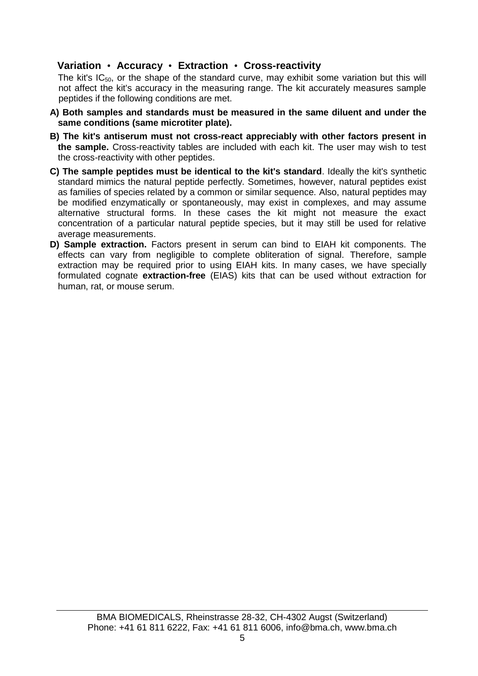# **Variation** • **Accuracy** • **Extraction** • **Cross-reactivity**

The kit's IC50, or the shape of the standard curve, may exhibit some variation but this will not affect the kit's accuracy in the measuring range. The kit accurately measures sample peptides if the following conditions are met.

- **A) Both samples and standards must be measured in the same diluent and under the same conditions (same microtiter plate).**
- **B) The kit's antiserum must not cross-react appreciably with other factors present in the sample.** Cross-reactivity tables are included with each kit. The user may wish to test the cross-reactivity with other peptides.
- **C) The sample peptides must be identical to the kit's standard**. Ideally the kit's synthetic standard mimics the natural peptide perfectly. Sometimes, however, natural peptides exist as families of species related by a common or similar sequence. Also, natural peptides may be modified enzymatically or spontaneously, may exist in complexes, and may assume alternative structural forms. In these cases the kit might not measure the exact concentration of a particular natural peptide species, but it may still be used for relative average measurements.
- **D) Sample extraction.** Factors present in serum can bind to EIAH kit components. The effects can vary from negligible to complete obliteration of signal. Therefore, sample extraction may be required prior to using EIAH kits. In many cases, we have specially formulated cognate **extraction-free** (EIAS) kits that can be used without extraction for human, rat, or mouse serum.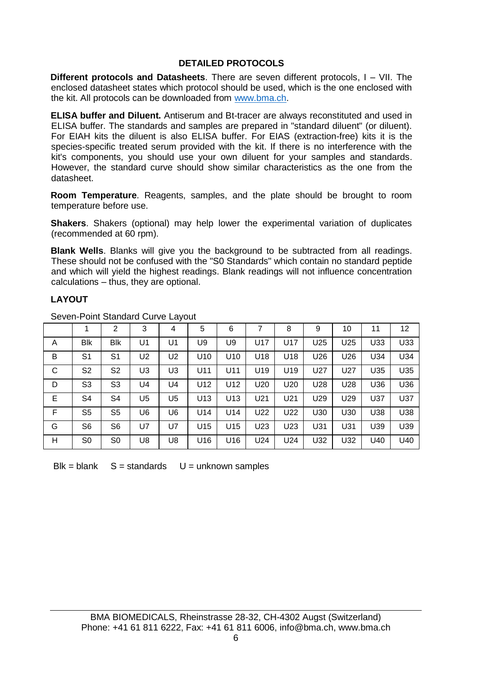#### **DETAILED PROTOCOLS**

**Different protocols and Datasheets**. There are seven different protocols, I – VII. The enclosed datasheet states which protocol should be used, which is the one enclosed with the kit. All protocols can be downloaded fro[m www.bma.ch.](http://www.bma.ch/)

**ELISA buffer and Diluent.** Antiserum and Bt-tracer are always reconstituted and used in ELISA buffer. The standards and samples are prepared in "standard diluent" (or diluent). For EIAH kits the diluent is also ELISA buffer. For EIAS (extraction-free) kits it is the species-specific treated serum provided with the kit. If there is no interference with the kit's components, you should use your own diluent for your samples and standards. However, the standard curve should show similar characteristics as the one from the datasheet.

**Room Temperature**. Reagents, samples, and the plate should be brought to room temperature before use.

**Shakers**. Shakers (optional) may help lower the experimental variation of duplicates (recommended at 60 rpm).

**Blank Wells**. Blanks will give you the background to be subtracted from all readings. These should not be confused with the "S0 Standards" which contain no standard peptide and which will yield the highest readings. Blank readings will not influence concentration calculations – thus, they are optional.

# **LAYOUT**

|   |                | 2   | 3              | 4  | 5               | 6               |                 | 8               | 9   | 10  | 11  | 12  |
|---|----------------|-----|----------------|----|-----------------|-----------------|-----------------|-----------------|-----|-----|-----|-----|
| A | <b>Blk</b>     | Blk | U1             | U1 | U9              | U9              | U17             | U17             | U25 | U25 | U33 | U33 |
| B | S <sub>1</sub> | S1  | U <sub>2</sub> | U2 | U <sub>10</sub> | U <sub>10</sub> | U18             | U <sub>18</sub> | U26 | U26 | U34 | U34 |
| C | S <sub>2</sub> | S2  | U3             | U3 | U11             | U11             | U19             | U19             | U27 | U27 | U35 | U35 |
| D | S <sub>3</sub> | S3  | U4             | U4 | U <sub>12</sub> | U12             | U <sub>20</sub> | U <sub>20</sub> | U28 | U28 | U36 | U36 |
| E | S4             | S4  | U5             | U5 | U <sub>13</sub> | U13             | U21             | U21             | U29 | U29 | U37 | U37 |
| F | S <sub>5</sub> | S5  | U6             | U6 | U14             | U14             | U22             | U22             | U30 | U30 | U38 | U38 |
| G | S <sub>6</sub> | S6  | U7             | U7 | U <sub>15</sub> | U <sub>15</sub> | U23             | U <sub>23</sub> | U31 | U31 | U39 | U39 |
| н | S0             | S0  | U8             | U8 | U <sub>16</sub> | U <sub>16</sub> | U24             | U24             | U32 | U32 | U40 | U40 |

Seven-Point Standard Curve Layout

 $Blk = blank$   $S = standards$   $U = unknown$  samples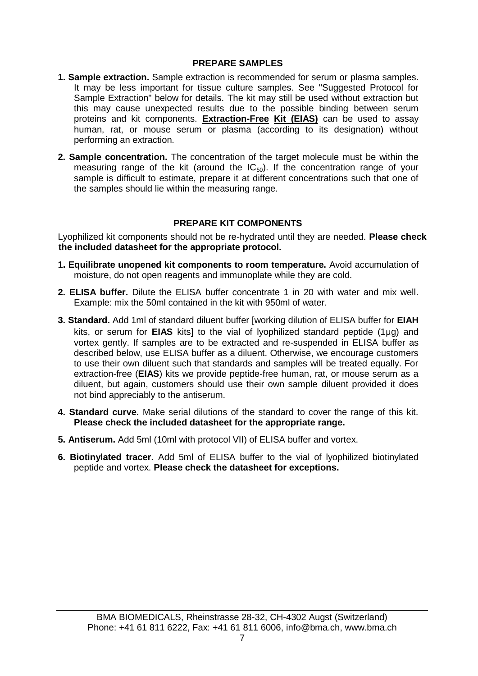#### **PREPARE SAMPLES**

- **1. Sample extraction.** Sample extraction is recommended for serum or plasma samples. It may be less important for tissue culture samples. See "Suggested Protocol for Sample Extraction" below for details. The kit may still be used without extraction but this may cause unexpected results due to the possible binding between serum proteins and kit components. **Extraction-Free Kit (EIAS)** can be used to assay human, rat, or mouse serum or plasma (according to its designation) without performing an extraction.
- **2. Sample concentration.** The concentration of the target molecule must be within the measuring range of the kit (around the  $IC_{50}$ ). If the concentration range of your sample is difficult to estimate, prepare it at different concentrations such that one of the samples should lie within the measuring range.

# **PREPARE KIT COMPONENTS**

Lyophilized kit components should not be re-hydrated until they are needed. **Please check the included datasheet for the appropriate protocol.** 

- **1. Equilibrate unopened kit components to room temperature.** Avoid accumulation of moisture, do not open reagents and immunoplate while they are cold.
- **2. ELISA buffer.** Dilute the ELISA buffer concentrate 1 in 20 with water and mix well. Example: mix the 50ml contained in the kit with 950ml of water.
- **3. Standard.** Add 1ml of standard diluent buffer [working dilution of ELISA buffer for **EIAH** kits, or serum for **EIAS** kits] to the vial of lyophilized standard peptide (1µg) and vortex gently. If samples are to be extracted and re-suspended in ELISA buffer as described below, use ELISA buffer as a diluent. Otherwise, we encourage customers to use their own diluent such that standards and samples will be treated equally. For extraction-free (**EIAS**) kits we provide peptide-free human, rat, or mouse serum as a diluent, but again, customers should use their own sample diluent provided it does not bind appreciably to the antiserum.
- **4. Standard curve.** Make serial dilutions of the standard to cover the range of this kit. **Please check the included datasheet for the appropriate range.**
- **5. Antiserum.** Add 5ml (10ml with protocol VII) of ELISA buffer and vortex.
- **6. Biotinylated tracer.** Add 5ml of ELISA buffer to the vial of lyophilized biotinylated peptide and vortex. **Please check the datasheet for exceptions.**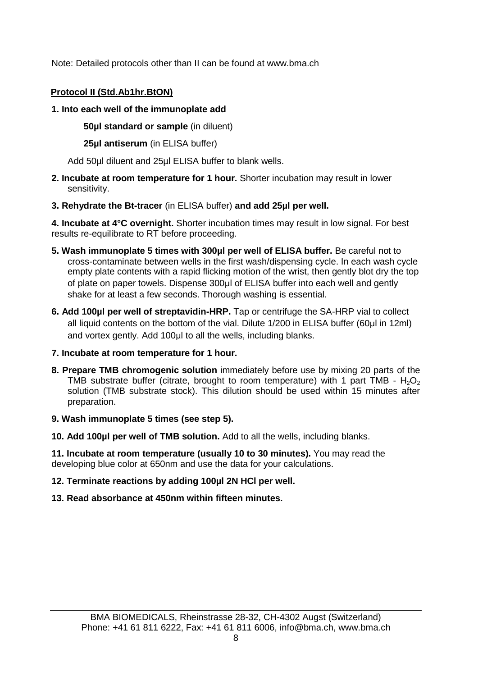Note: Detailed protocols other than II can be found at www.bma.ch

# **Protocol II (Std.Ab1hr.BtON)**

# **1. Into each well of the immunoplate add**

**50µl standard or sample** (in diluent)

**25µl antiserum** (in ELISA buffer)

Add 50µl diluent and 25µl ELISA buffer to blank wells.

- **2. Incubate at room temperature for 1 hour.** Shorter incubation may result in lower sensitivity.
- **3. Rehydrate the Bt-tracer** (in ELISA buffer) **and add 25µl per well.**

**4. Incubate at 4°C overnight.** Shorter incubation times may result in low signal. For best results re-equilibrate to RT before proceeding.

- **5. Wash immunoplate 5 times with 300µl per well of ELISA buffer.** Be careful not to cross-contaminate between wells in the first wash/dispensing cycle. In each wash cycle empty plate contents with a rapid flicking motion of the wrist, then gently blot dry the top of plate on paper towels. Dispense 300µl of ELISA buffer into each well and gently shake for at least a few seconds. Thorough washing is essential.
- **6. Add 100µl per well of streptavidin-HRP.** Tap or centrifuge the SA-HRP vial to collect all liquid contents on the bottom of the vial. Dilute 1/200 in ELISA buffer (60µl in 12ml) and vortex gently. Add 100ul to all the wells, including blanks.
- **7. Incubate at room temperature for 1 hour.**
- **8. Prepare TMB chromogenic solution** immediately before use by mixing 20 parts of the TMB substrate buffer (citrate, brought to room temperature) with 1 part TMB -  $H_2O_2$ solution (TMB substrate stock). This dilution should be used within 15 minutes after preparation.
- **9. Wash immunoplate 5 times (see step 5).**
- **10. Add 100µl per well of TMB solution.** Add to all the wells, including blanks.

**11. Incubate at room temperature (usually 10 to 30 minutes).** You may read the developing blue color at 650nm and use the data for your calculations.

- **12. Terminate reactions by adding 100µl 2N HCl per well.**
- **13. Read absorbance at 450nm within fifteen minutes.**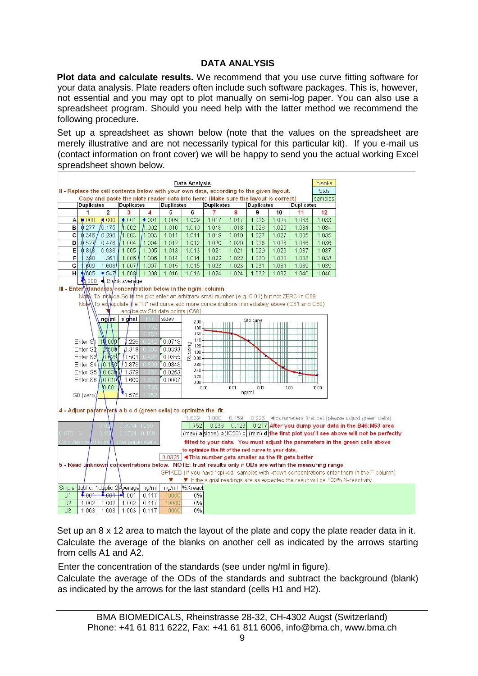# **DATA ANALYSIS**

**Plot data and calculate results.** We recommend that you use curve fitting software for your data analysis. Plate readers often include such software packages. This is, however, not essential and you may opt to plot manually on semi-log paper. You can also use a spreadsheet program. Should you need help with the latter method we recommend the following procedure.

Set up a spreadsheet as shown below (note that the values on the spreadsheet are merely illustrative and are not necessarily typical for this particular kit). If you e-mail us (contact information on front cover) we will be happy to send you the actual working Excel spreadsheet shown below.

|                | Data Analysis<br>II - Replace the cell contents below with your own data, according to the given layout. |                         |                        |         |                                 |                                                             |                                                                  |       |                                                                                                                     |       |                   | blanks                                                                                                 |                                                                                                |
|----------------|----------------------------------------------------------------------------------------------------------|-------------------------|------------------------|---------|---------------------------------|-------------------------------------------------------------|------------------------------------------------------------------|-------|---------------------------------------------------------------------------------------------------------------------|-------|-------------------|--------------------------------------------------------------------------------------------------------|------------------------------------------------------------------------------------------------|
|                |                                                                                                          |                         |                        |         |                                 |                                                             |                                                                  |       |                                                                                                                     |       |                   | Stds                                                                                                   |                                                                                                |
|                |                                                                                                          |                         |                        |         |                                 |                                                             |                                                                  |       | Copy and paste the plate reader data into here: (Make sure the layout is correct)                                   |       |                   | samples                                                                                                |                                                                                                |
|                | <b>Duplicates</b>                                                                                        |                         | <b>Duplicates</b>      |         | <b>Duplicates</b>               |                                                             | <b>Duplicates</b>                                                |       | <b>Duplicates</b>                                                                                                   |       | <b>Duplicates</b> |                                                                                                        |                                                                                                |
|                | 1                                                                                                        | $\overline{2}$          | 3                      | 4       | 5                               | 6                                                           |                                                                  | 8     | 9                                                                                                                   | 10    | 11                | 12                                                                                                     |                                                                                                |
| A              | 0.000                                                                                                    | 0.000                   | $*001$                 | ,001    | 1.009                           | 1.009                                                       | 1.017                                                            | 1.017 | 1.025                                                                                                               | 1.025 | 1.033             | 1.033                                                                                                  |                                                                                                |
| в              | 0.277                                                                                                    | 1/0.175                 | h.002                  | h.002   | 1.010                           | 1.010                                                       | 1.018                                                            | 1.018 | 1.026                                                                                                               | 1.026 | 1.034             | 1.034                                                                                                  |                                                                                                |
| с              | 0.346                                                                                                    | 0.290                   | 11.003                 | 11.003  | 1.011                           | 1.011                                                       | 1.019                                                            | 1.019 | 1.027                                                                                                               | 1.027 | 1.035             | 1.035                                                                                                  |                                                                                                |
| D              | 0.527                                                                                                    | 0.476                   | 1.004                  | 1.004   | 1.012                           | 1.012                                                       | 1.020                                                            | 1.020 | 1.028                                                                                                               | 1.028 | 1.036             | 1.036                                                                                                  |                                                                                                |
| Е              | 0.81B                                                                                                    | 0.938                   | 1.005                  | 1.005   | 1.013                           | 1.013                                                       | 1.021                                                            | 1.021 | 1.029                                                                                                               | 1.029 | 1.037             | 1.037                                                                                                  |                                                                                                |
| F              | 398                                                                                                      | 1.361                   | 1.006                  | 1.006   | 1.014                           | 1.014                                                       | 1.022                                                            | 1.022 | 1.030                                                                                                               | 1.030 | 1.038             | 1.038                                                                                                  |                                                                                                |
| G              | 609                                                                                                      | 1.608                   | 1,007                  | 1.007   | 1.015                           | 1.015                                                       | 1.023                                                            | 1.023 | 1.031                                                                                                               | 1.031 | 1.039             | 1.039                                                                                                  |                                                                                                |
| H              | /605                                                                                                     | 4.547                   | 1.008                  | 1.008   | 1.016                           | 1.016                                                       | 1.024                                                            | 1.024 | 1.032                                                                                                               | 1.032 | 1.040             | 1.040                                                                                                  |                                                                                                |
|                |                                                                                                          |                         | 000 - Blank average    |         |                                 |                                                             |                                                                  |       |                                                                                                                     |       |                   |                                                                                                        |                                                                                                |
|                |                                                                                                          |                         |                        |         |                                 |                                                             | III - Enter standards concentration below in the ng/ml column    |       |                                                                                                                     |       |                   |                                                                                                        |                                                                                                |
|                |                                                                                                          |                         |                        |         |                                 |                                                             |                                                                  |       | Note To include So in the plot enter an arbitrary small number (e.g. 0.01) but not ZERO in C69                      |       |                   |                                                                                                        |                                                                                                |
|                |                                                                                                          |                         |                        |         |                                 |                                                             |                                                                  |       | Note\\To extrapolate the "fit" red curve add more concentrations immediately above (C61 and C60)                    |       |                   |                                                                                                        |                                                                                                |
|                |                                                                                                          |                         |                        |         | and below Std data points (C68) |                                                             |                                                                  |       |                                                                                                                     |       |                   |                                                                                                        |                                                                                                |
|                |                                                                                                          |                         | ng/ml signal           | FIT.    | stdev                           | 2.00                                                        |                                                                  |       | Std.curve                                                                                                           |       |                   |                                                                                                        |                                                                                                |
|                |                                                                                                          |                         |                        |         |                                 | 180                                                         |                                                                  |       |                                                                                                                     |       |                   |                                                                                                        |                                                                                                |
|                |                                                                                                          |                         |                        | 75      |                                 | 1.60                                                        |                                                                  | .     |                                                                                                                     |       |                   |                                                                                                        |                                                                                                |
|                | Enter S1 10.000                                                                                          |                         | 0.226                  |         | 0.0718                          | 140                                                         |                                                                  |       |                                                                                                                     | Ш     |                   |                                                                                                        |                                                                                                |
|                | Enter S2                                                                                                 | \$1500                  | D.318                  | $-3005$ | 0.0393                          | $\begin{array}{c} 140 \\ -120 \\ -0.00 \\ 0.80 \end{array}$ |                                                                  |       |                                                                                                                     |       |                   |                                                                                                        |                                                                                                |
|                | Enter S3 0.625                                                                                           |                         | 0.501                  |         | 0.0355                          |                                                             |                                                                  | m     |                                                                                                                     | Ш     |                   |                                                                                                        |                                                                                                |
|                | Enter S4 0.156 / 0.878                                                                                   |                         |                        |         | 0.0848                          | 0.60                                                        |                                                                  |       |                                                                                                                     |       |                   |                                                                                                        |                                                                                                |
|                | Enter S5 0.03 1.379                                                                                      |                         |                        |         | 0.0263                          | 0.40                                                        |                                                                  |       | Ш                                                                                                                   | ₩     |                   |                                                                                                        |                                                                                                |
|                | Enter S6 10.010                                                                                          |                         | 1.609                  |         | 0.0007                          | 0.20                                                        |                                                                  |       |                                                                                                                     |       |                   |                                                                                                        |                                                                                                |
|                |                                                                                                          | 0.001                   |                        |         |                                 | $0.00 -$                                                    | 0.00                                                             | 0.01  | 0.10                                                                                                                | 100   |                   | 10.00                                                                                                  |                                                                                                |
|                | S0 (zero)                                                                                                |                         | 1.576                  |         |                                 |                                                             |                                                                  |       | ng/ml                                                                                                               |       |                   |                                                                                                        |                                                                                                |
|                |                                                                                                          |                         |                        |         |                                 |                                                             |                                                                  |       |                                                                                                                     |       |                   |                                                                                                        |                                                                                                |
|                |                                                                                                          |                         |                        |         |                                 |                                                             | 4 - Adjust parameters a b c d (green cells) to optimize the fit. |       |                                                                                                                     |       |                   |                                                                                                        |                                                                                                |
|                |                                                                                                          |                         |                        |         |                                 | 1.609                                                       | 1.000                                                            | 0.159 |                                                                                                                     |       |                   |                                                                                                        | 0.226 <parameters (please="" adjust="" bet="" cells)<="" first="" green="" td=""></parameters> |
|                |                                                                                                          | 06                      | 0.5014 IC50            |         |                                 | 1.752                                                       | 0.936                                                            | 0.123 |                                                                                                                     |       |                   |                                                                                                        | 0.217 After you dump your data in the B46:M53 area                                             |
| 0.876 3        |                                                                                                          | 0.1                     | 0.8781 0.159           |         |                                 |                                                             |                                                                  |       |                                                                                                                     |       |                   |                                                                                                        | (max) a slope) b (IC50) c (min) d fhe first plot you'll see above will not be perfectly        |
|                |                                                                                                          |                         |                        |         |                                 |                                                             |                                                                  |       |                                                                                                                     |       |                   |                                                                                                        |                                                                                                |
| Calculation    |                                                                                                          | of iniba                | urve parameters        |         |                                 |                                                             |                                                                  |       |                                                                                                                     |       |                   |                                                                                                        | fitted to your data. You must adjust the parameters in the green cells above                   |
|                |                                                                                                          |                         |                        |         |                                 |                                                             |                                                                  |       | to optimize the fit of the red curve to your data.                                                                  |       |                   |                                                                                                        |                                                                                                |
|                |                                                                                                          |                         |                        |         | 0.0325                          |                                                             |                                                                  |       | <this as="" better<="" fit="" gets="" number="" smaller="" td="" the=""><td></td><td></td><td></td><td></td></this> |       |                   |                                                                                                        |                                                                                                |
|                |                                                                                                          |                         |                        |         |                                 |                                                             |                                                                  |       |                                                                                                                     |       |                   | 5 - Read unknown concentrations below. NOTE: trust results only if ODs are within the measuring range. |                                                                                                |
|                |                                                                                                          |                         |                        |         |                                 |                                                             |                                                                  |       |                                                                                                                     |       |                   |                                                                                                        | SPIKED (if you have "spiked" samples with known concentrations enter them in the F column)     |
|                |                                                                                                          |                         |                        |         |                                 |                                                             |                                                                  |       |                                                                                                                     |       |                   |                                                                                                        | ▼ If the signal readings are as expected the result will be 100% X-reactivity                  |
| <b>Smpls</b>   | dublic.                                                                                                  |                         | 1duplic 2Average ng/ml |         | ng/ml                           | %Xreact                                                     |                                                                  |       |                                                                                                                     |       |                   |                                                                                                        |                                                                                                |
| U1             |                                                                                                          | $4.001 + 0.001 + 0.001$ |                        | 0.117   | 10000                           | 0%                                                          |                                                                  |       |                                                                                                                     |       |                   |                                                                                                        |                                                                                                |
| U <sub>2</sub> | 1.002                                                                                                    | 1.002                   | 1.002                  | 0.117   | 10000                           | 0%                                                          |                                                                  |       |                                                                                                                     |       |                   |                                                                                                        |                                                                                                |
| U3             | 1.003                                                                                                    | 1.003                   | 1.003                  | 0.117   | 10000                           | 0%                                                          |                                                                  |       |                                                                                                                     |       |                   |                                                                                                        |                                                                                                |

Set up an  $8 \times 12$  area to match the layout of the plate and copy the plate reader data in it. Calculate the average of the blanks on another cell as indicated by the arrows starting from cells A1 and A2.

Enter the concentration of the standards (see under ng/ml in figure).

Calculate the average of the ODs of the standards and subtract the background (blank) as indicated by the arrows for the last standard (cells H1 and H2).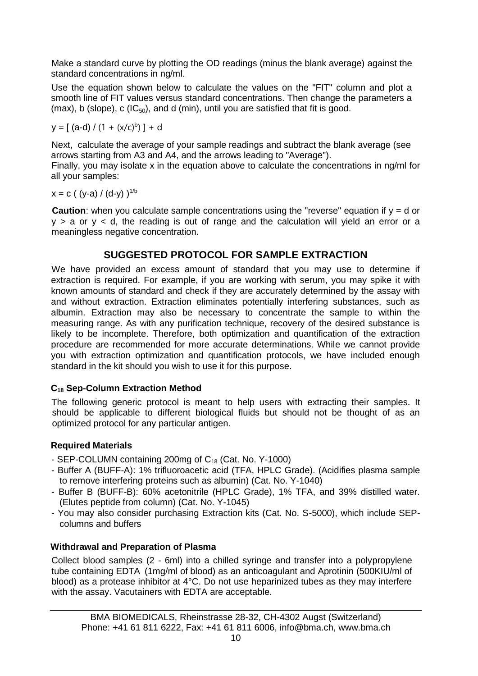Make a standard curve by plotting the OD readings (minus the blank average) against the standard concentrations in ng/ml.

Use the equation shown below to calculate the values on the "FIT" column and plot a smooth line of FIT values versus standard concentrations. Then change the parameters a (max), b (slope), c ( $|C_{50}\rangle$ , and d (min), until you are satisfied that fit is good.

$$
y = [(a-d) / (1 + (x/c)^b)] + d
$$

Next, calculate the average of your sample readings and subtract the blank average (see arrows starting from A3 and A4, and the arrows leading to "Average").

Finally, you may isolate x in the equation above to calculate the concentrations in ng/ml for all your samples:

x = c ( (y-a) / (d-y) ) 1/b

**Caution**: when you calculate sample concentrations using the "reverse" equation if  $y = d$  or  $y > a$  or  $y < d$ , the reading is out of range and the calculation will yield an error or a meaningless negative concentration.

# **SUGGESTED PROTOCOL FOR SAMPLE EXTRACTION**

We have provided an excess amount of standard that you may use to determine if extraction is required. For example, if you are working with serum, you may spike it with known amounts of standard and check if they are accurately determined by the assay with and without extraction. Extraction eliminates potentially interfering substances, such as albumin. Extraction may also be necessary to concentrate the sample to within the measuring range. As with any purification technique, recovery of the desired substance is likely to be incomplete. Therefore, both optimization and quantification of the extraction procedure are recommended for more accurate determinations. While we cannot provide you with extraction optimization and quantification protocols, we have included enough standard in the kit should you wish to use it for this purpose.

# **C<sup>18</sup> Sep-Column Extraction Method**

The following generic protocol is meant to help users with extracting their samples. It should be applicable to different biological fluids but should not be thought of as an optimized protocol for any particular antigen.

# **Required Materials**

- SEP-COLUMN containing 200mg of C<sup>18</sup> (Cat. No. Y-1000)
- Buffer A (BUFF-A): 1% trifluoroacetic acid (TFA, HPLC Grade). (Acidifies plasma sample to remove interfering proteins such as albumin) (Cat. No. Y-1040)
- Buffer B (BUFF-B): 60% acetonitrile (HPLC Grade), 1% TFA, and 39% distilled water. (Elutes peptide from column) (Cat. No. Y-1045)
- You may also consider purchasing Extraction kits (Cat. No. S-5000), which include SEPcolumns and buffers

# **Withdrawal and Preparation of Plasma**

Collect blood samples (2 - 6ml) into a chilled syringe and transfer into a polypropylene tube containing EDTA (1mg/ml of blood) as an anticoagulant and Aprotinin (500KIU/ml of blood) as a protease inhibitor at 4°C. Do not use heparinized tubes as they may interfere with the assay. Vacutainers with EDTA are acceptable.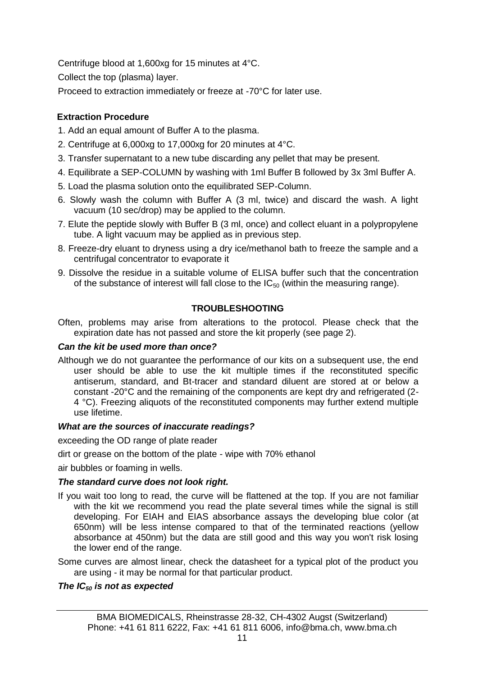Centrifuge blood at 1,600xg for 15 minutes at 4°C.

Collect the top (plasma) layer.

Proceed to extraction immediately or freeze at -70°C for later use.

# **Extraction Procedure**

- 1. Add an equal amount of Buffer A to the plasma.
- 2. Centrifuge at 6,000xg to 17,000xg for 20 minutes at 4°C.
- 3. Transfer supernatant to a new tube discarding any pellet that may be present.
- 4. Equilibrate a SEP-COLUMN by washing with 1ml Buffer B followed by 3x 3ml Buffer A.
- 5. Load the plasma solution onto the equilibrated SEP-Column.
- 6. Slowly wash the column with Buffer A (3 ml, twice) and discard the wash. A light vacuum (10 sec/drop) may be applied to the column.
- 7. Elute the peptide slowly with Buffer B (3 ml, once) and collect eluant in a polypropylene tube. A light vacuum may be applied as in previous step.
- 8. Freeze-dry eluant to dryness using a dry ice/methanol bath to freeze the sample and a centrifugal concentrator to evaporate it
- 9. Dissolve the residue in a suitable volume of ELISA buffer such that the concentration of the substance of interest will fall close to the  $IC_{50}$  (within the measuring range).

# **TROUBLESHOOTING**

Often, problems may arise from alterations to the protocol. Please check that the expiration date has not passed and store the kit properly (see page 2).

# *Can the kit be used more than once?*

Although we do not guarantee the performance of our kits on a subsequent use, the end user should be able to use the kit multiple times if the reconstituted specific antiserum, standard, and Bt-tracer and standard diluent are stored at or below a constant -20°C and the remaining of the components are kept dry and refrigerated (2- 4 °C). Freezing aliquots of the reconstituted components may further extend multiple use lifetime.

# *What are the sources of inaccurate readings?*

exceeding the OD range of plate reader

dirt or grease on the bottom of the plate - wipe with 70% ethanol

air bubbles or foaming in wells.

# *The standard curve does not look right.*

- If you wait too long to read, the curve will be flattened at the top. If you are not familiar with the kit we recommend you read the plate several times while the signal is still developing. For EIAH and EIAS absorbance assays the developing blue color (at 650nm) will be less intense compared to that of the terminated reactions (yellow absorbance at 450nm) but the data are still good and this way you won't risk losing the lower end of the range.
- Some curves are almost linear, check the datasheet for a typical plot of the product you are using - it may be normal for that particular product.

# *The IC<sup>50</sup> is not as expected*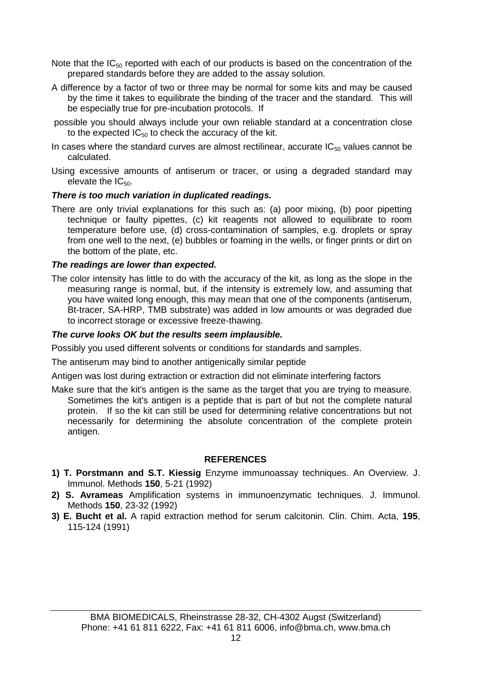- Note that the  $IC_{50}$  reported with each of our products is based on the concentration of the prepared standards before they are added to the assay solution.
- A difference by a factor of two or three may be normal for some kits and may be caused by the time it takes to equilibrate the binding of the tracer and the standard. This will be especially true for pre-incubation protocols. If
- possible you should always include your own reliable standard at a concentration close to the expected  $IC_{50}$  to check the accuracy of the kit.
- In cases where the standard curves are almost rectilinear, accurate  $IC_{50}$  values cannot be calculated.
- Using excessive amounts of antiserum or tracer, or using a degraded standard may elevate the IC<sub>50</sub>.

# *There is too much variation in duplicated readings.*

There are only trivial explanations for this such as: (a) poor mixing, (b) poor pipetting technique or faulty pipettes, (c) kit reagents not allowed to equilibrate to room temperature before use, (d) cross-contamination of samples, e.g. droplets or spray from one well to the next, (e) bubbles or foaming in the wells, or finger prints or dirt on the bottom of the plate, etc.

#### *The readings are lower than expected.*

The color intensity has little to do with the accuracy of the kit, as long as the slope in the measuring range is normal, but, if the intensity is extremely low, and assuming that you have waited long enough, this may mean that one of the components (antiserum, Bt-tracer, SA-HRP, TMB substrate) was added in low amounts or was degraded due to incorrect storage or excessive freeze-thawing.

# *The curve looks OK but the results seem implausible.*

Possibly you used different solvents or conditions for standards and samples.

The antiserum may bind to another antigenically similar peptide

Antigen was lost during extraction or extraction did not eliminate interfering factors

Make sure that the kit's antigen is the same as the target that you are trying to measure. Sometimes the kit's antigen is a peptide that is part of but not the complete natural protein. If so the kit can still be used for determining relative concentrations but not necessarily for determining the absolute concentration of the complete protein antigen.

# **REFERENCES**

- **1) T. Porstmann and S.T. Kiessig** Enzyme immunoassay techniques. An Overview. J. Immunol. Methods **150**, 5-21 (1992)
- **2) S. Avrameas** Amplification systems in immunoenzymatic techniques. J. Immunol. Methods **150**, 23-32 (1992)
- **3) E. Bucht et al.** A rapid extraction method for serum calcitonin. Clin. Chim. Acta, **195**, 115-124 (1991)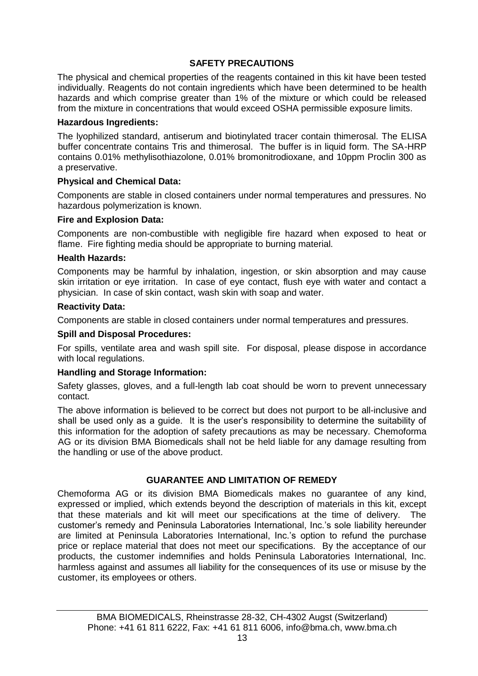#### **SAFETY PRECAUTIONS**

The physical and chemical properties of the reagents contained in this kit have been tested individually. Reagents do not contain ingredients which have been determined to be health hazards and which comprise greater than 1% of the mixture or which could be released from the mixture in concentrations that would exceed OSHA permissible exposure limits.

#### **Hazardous Ingredients:**

The lyophilized standard, antiserum and biotinylated tracer contain thimerosal. The ELISA buffer concentrate contains Tris and thimerosal. The buffer is in liquid form. The SA-HRP contains 0.01% methylisothiazolone, 0.01% bromonitrodioxane, and 10ppm Proclin 300 as a preservative.

#### **Physical and Chemical Data:**

Components are stable in closed containers under normal temperatures and pressures. No hazardous polymerization is known.

#### **Fire and Explosion Data:**

Components are non-combustible with negligible fire hazard when exposed to heat or flame. Fire fighting media should be appropriate to burning material.

#### **Health Hazards:**

Components may be harmful by inhalation, ingestion, or skin absorption and may cause skin irritation or eye irritation. In case of eye contact, flush eye with water and contact a physician. In case of skin contact, wash skin with soap and water.

#### **Reactivity Data:**

Components are stable in closed containers under normal temperatures and pressures.

#### **Spill and Disposal Procedures:**

For spills, ventilate area and wash spill site. For disposal, please dispose in accordance with local regulations.

# **Handling and Storage Information:**

Safety glasses, gloves, and a full-length lab coat should be worn to prevent unnecessary contact.

The above information is believed to be correct but does not purport to be all-inclusive and shall be used only as a guide. It is the user's responsibility to determine the suitability of this information for the adoption of safety precautions as may be necessary. Chemoforma AG or its division BMA Biomedicals shall not be held liable for any damage resulting from the handling or use of the above product.

# **GUARANTEE AND LIMITATION OF REMEDY**

Chemoforma AG or its division BMA Biomedicals makes no guarantee of any kind, expressed or implied, which extends beyond the description of materials in this kit, except that these materials and kit will meet our specifications at the time of delivery. The customer's remedy and Peninsula Laboratories International, Inc.'s sole liability hereunder are limited at Peninsula Laboratories International, Inc.'s option to refund the purchase price or replace material that does not meet our specifications. By the acceptance of our products, the customer indemnifies and holds Peninsula Laboratories International, Inc. harmless against and assumes all liability for the consequences of its use or misuse by the customer, its employees or others.